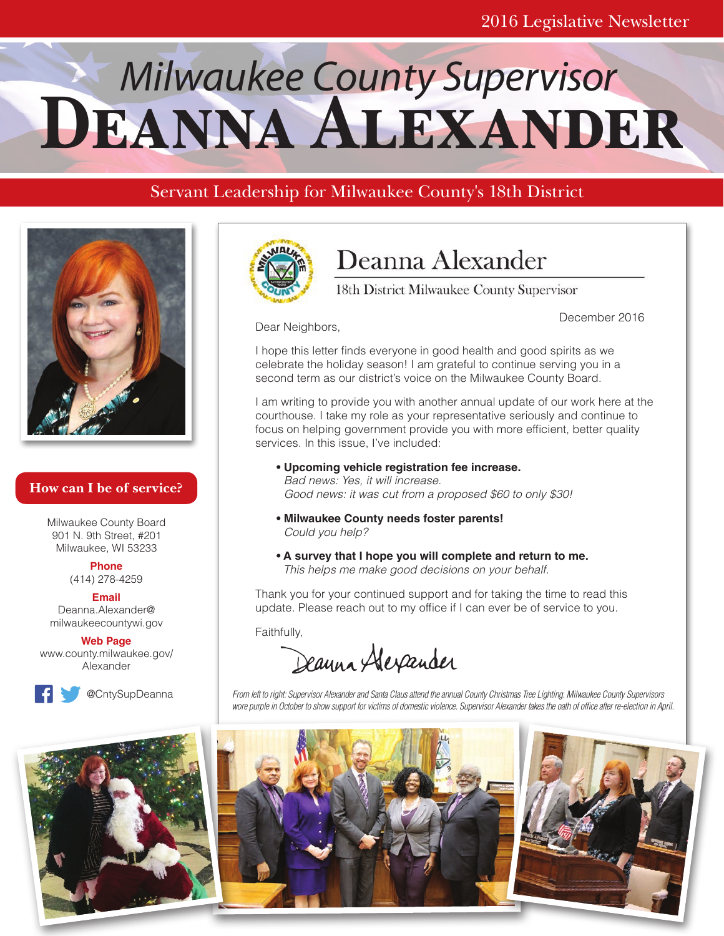# **DEANNA ALEXANDER**

# Servant Leadership for Milwaukee County's 18th District



## **How can I be of service?**

Milwaukee County Board 901 N. 9th Street, #201 Milwaukee, WI 53233

**Phone**

(414) 278-4259

**Email** Deanna.Alexander@ milwaukeecountywi.gov

**Web Page** www.county.milwaukee.gov/ Alexander







# Deanna Alexander

18th District Milwaukee County Supervisor

December 2016

Dear Neighbors,

I hope this letter finds everyone in good health and good spirits as we celebrate the holiday season! I am grateful to continue serving you in a second term as our district's voice on the Milwaukee County Board.

I am writing to provide you with another annual update of our work here at the courthouse. I take my role as your representative seriously and continue to focus on helping government provide you with more efficient, better quality services. In this issue, I've included:

- **Upcoming vehicle registration fee increase.** *Bad news: Yes, it will increase. Good news: it was cut from a proposed \$60 to only \$30!*
- **Milwaukee County needs foster parents!** *Could you help?*
- **A survey that I hope you will complete and return to me.** *This helps me make good decisions on your behalf.*

Thank you for your continued support and for taking the time to read this update. Please reach out to my office if I can ever be of service to you.

Faithfully,

Deanna Alexander

*From left to right: Supervisor Alexander and Santa Claus attend the annual County Christmas Tree Lighting. Milwaukee County Supervisors wore purple in October to show support for victims of domestic violence. Supervisor Alexander takes the oath of office after re-election in April.*



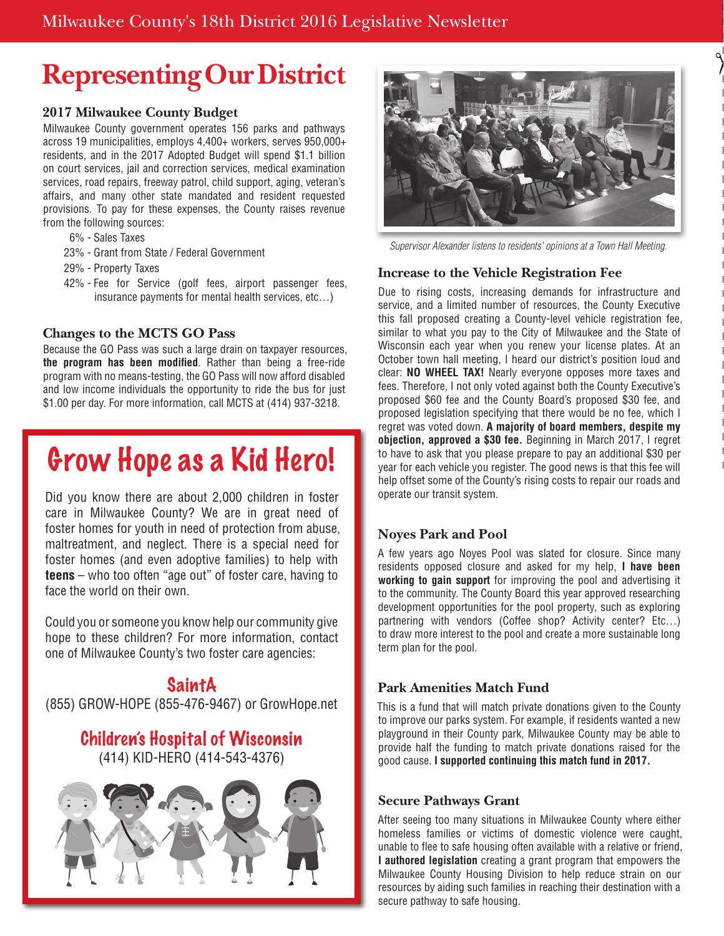# **Representing Our District**

#### **2017 Milwaukee County Budget**

Milwaukee County government operates 156 parks and pathways across 19 municipalities, employs 4,400+ workers, serves 950,000+ residents, and in the 2017 Adopted Budget will spend \$1.1 billion on court services, jail and correction services, medical examination services, road repairs, freeway patrol, child support, aging, veteran's affairs, and many other state mandated and resident requested provisions. To pay for these expenses, the County raises revenue from the following sources:

- 6% Sales Taxes
- 23% Grant from State / Federal Government
- 29% Property Taxes
- 42% Fee for Service (golf fees, airport passenger fees, insurance payments for mental health services, etc…)

#### **Changes to the MCTS GO Pass**

Because the GO Pass was such a large drain on taxpayer resources, **the program has been modified**. Rather than being a free-ride program with no means-testing, the GO Pass will now afford disabled and low income individuals the opportunity to ride the bus for just \$1.00 per day. For more information, call MCTS at (414) 937-3218.

# Grow Hope as a Kid Hero!

Did you know there are about 2,000 children in foster care in Milwaukee County? We are in great need of foster homes for youth in need of protection from abuse, maltreatment, and neglect. There is a special need for foster homes (and even adoptive families) to help with **teens** – who too often "age out" of foster care, having to face the world on their own.

Could you or someone you know help our community give hope to these children? For more information, contact one of Milwaukee County's two foster care agencies:

# SaintA

(855) GROW-HOPE (855-476-9467) or GrowHope.net

## Children's Hospital of Wisconsin (414) KID-HERO (414-543-4376)





*Supervisor Alexander listens to residents' opinions at a Town Hall Meeting.*

#### **Increase to the Vehicle Registration Fee**

Due to rising costs, increasing demands for infrastructure and service, and a limited number of resources, the County Executive this fall proposed creating a County-level vehicle registration fee, similar to what you pay to the City of Milwaukee and the State of Wisconsin each year when you renew your license plates. At an October town hall meeting, I heard our district's position loud and clear: **NO WHEEL TAX!** Nearly everyone opposes more taxes and fees. Therefore, I not only voted against both the County Executive's proposed \$60 fee and the County Board's proposed \$30 fee, and proposed legislation specifying that there would be no fee, which I regret was voted down. **A majority of board members, despite my objection, approved a \$30 fee.** Beginning in March 2017, I regret to have to ask that you please prepare to pay an additional \$30 per year for each vehicle you register. The good news is that this fee will help offset some of the County's rising costs to repair our roads and operate our transit system.

## **Noyes Park and Pool**

A few years ago Noyes Pool was slated for closure. Since many residents opposed closure and asked for my help, **I have been working to gain support** for improving the pool and advertising it to the community. The County Board this year approved researching development opportunities for the pool property, such as exploring partnering with vendors (Coffee shop? Activity center? Etc…) to draw more interest to the pool and create a more sustainable long term plan for the pool.

## **Park Amenities Match Fund**

This is a fund that will match private donations given to the County to improve our parks system. For example, if residents wanted a new playground in their County park, Milwaukee County may be able to provide half the funding to match private donations raised for the good cause. **I supported continuing this match fund in 2017.**

#### **Secure Pathways Grant**

After seeing too many situations in Milwaukee County where either homeless families or victims of domestic violence were caught, unable to flee to safe housing often available with a relative or friend, **I authored legislation** creating a grant program that empowers the Milwaukee County Housing Division to help reduce strain on our resources by aiding such families in reaching their destination with a secure pathway to safe housing.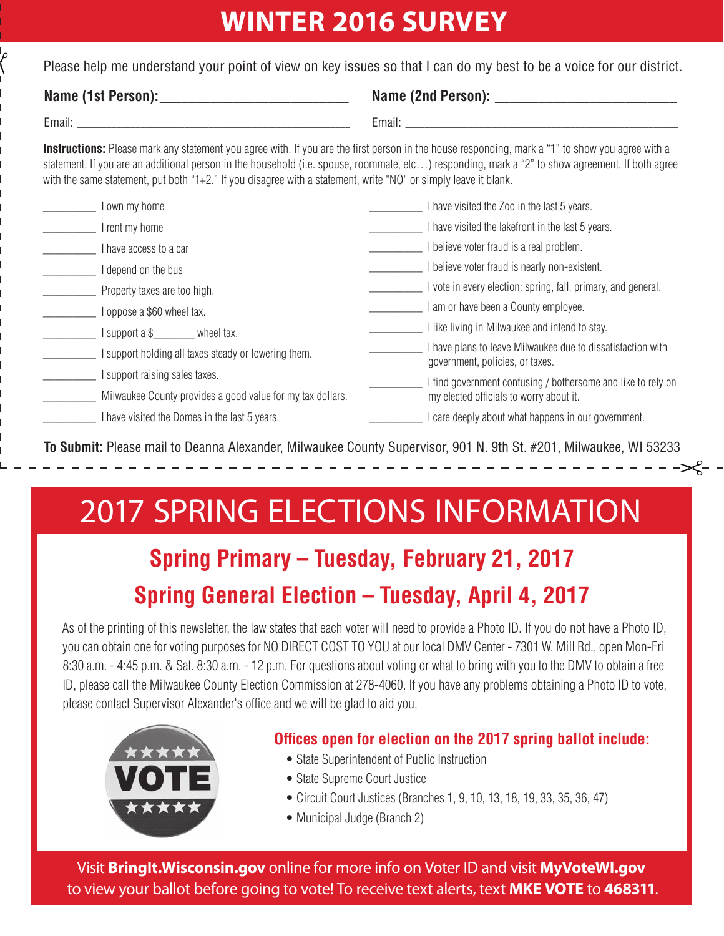# **WINTER 2016 SURVEY**

Please help me understand your point of view on key issues so that I can do my best to be a voice for our district.

## Name (1st Person):

| Name (2nd Person): |  |
|--------------------|--|
|                    |  |

Email: \_\_\_\_\_\_\_\_\_\_\_\_\_\_\_\_\_\_\_\_\_\_\_\_\_\_\_\_\_\_\_\_\_\_\_\_\_\_\_\_\_\_\_\_\_\_\_\_\_\_\_\_\_\_\_\_

Instructions: Please mark any statement you agree with. If you are the first person in the house responding, mark a "1" to show you agree with a statement. If you are an additional person in the household (i.e. spouse, roommate, etc…) responding, mark a "2" to show agreement. If both agree with the same statement, put both "1+2." If you disagree with a statement, write "NO" or simply leave it blank.

| own my home                                                | have visited the Zoo in the last 5 years.                                                    |
|------------------------------------------------------------|----------------------------------------------------------------------------------------------|
| rent my home                                               | have visited the lakefront in the last 5 years.                                              |
| have access to a car                                       | believe voter fraud is a real problem.                                                       |
| depend on the bus                                          | believe voter fraud is nearly non-existent.                                                  |
| Property taxes are too high.                               | I vote in every election: spring, fall, primary, and general.                                |
| oppose a \$60 wheel tax.                                   | am or have been a County employee.                                                           |
| support a \$<br>wheel tax.                                 | like living in Milwaukee and intend to stay.                                                 |
| support holding all taxes steady or lowering them.         | have plans to leave Milwaukee due to dissatisfaction with<br>government, policies, or taxes. |
| support raising sales taxes.                               | I find government confusing / bothersome and like to rely on                                 |
| Milwaukee County provides a good value for my tax dollars. | my elected officials to worry about it.                                                      |
| have visited the Domes in the last 5 years.                | care deeply about what happens in our government.                                            |

**To Submit:** Please mail to Deanna Alexander, Milwaukee County Supervisor, 901 N. 9th St. #201, Milwaukee, WI 53233

---------------

# 2017 SPRING ELECTIONS INFORMATION

# **Spring Primary – Tuesday, February 21, 2017 Spring General Election – Tuesday, April 4, 2017**

As of the printing of this newsletter, the law states that each voter will need to provide a Photo ID. If you do not have a Photo ID, you can obtain one for voting purposes for NO DIRECT COST TO YOU at our local DMV Center - 7301 W. Mill Rd., open Mon-Fri 8:30 a.m. - 4:45 p.m. & Sat. 8:30 a.m. - 12 p.m. For questions about voting or what to bring with you to the DMV to obtain a free ID, please call the Milwaukee County Election Commission at 278-4060. If you have any problems obtaining a Photo ID to vote, please contact Supervisor Alexander's office and we will be glad to aid you.



# **Offices open for election on the 2017 spring ballot include:**

- State Superintendent of Public Instruction
- State Supreme Court Justice
- Circuit Court Justices (Branches 1, 9, 10, 13, 18, 19, 33, 35, 36, 47)
- Municipal Judge (Branch 2)

Visit **BringIt.Wisconsin.gov** online for more info on Voter ID and visit **MyVoteWI.gov** to view your ballot before going to vote! To receive text alerts, text **MKE VOTE** to **468311**.